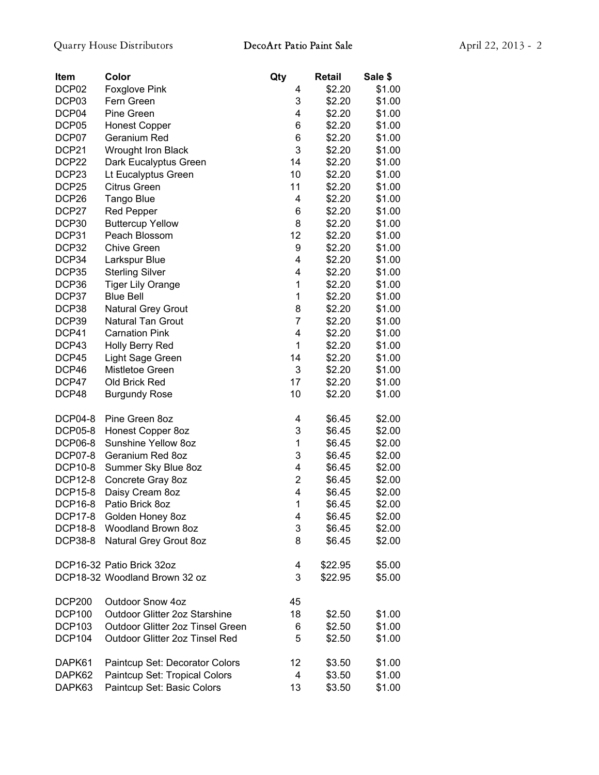| <b>Item</b>       | Color                            | Qty            | Retail  | Sale \$ |
|-------------------|----------------------------------|----------------|---------|---------|
| DCP02             | Foxglove Pink                    | 4              | \$2.20  | \$1.00  |
| DCP03             | Fern Green                       | 3              | \$2.20  | \$1.00  |
| DCP04             | Pine Green                       | 4              | \$2.20  | \$1.00  |
| DCP05             | <b>Honest Copper</b>             | 6              | \$2.20  | \$1.00  |
| DCP07             | Geranium Red                     | 6              | \$2.20  | \$1.00  |
| DCP21             | Wrought Iron Black               | 3              | \$2.20  | \$1.00  |
| DCP22             | Dark Eucalyptus Green            | 14             | \$2.20  | \$1.00  |
| DCP <sub>23</sub> | Lt Eucalyptus Green              | 10             | \$2.20  | \$1.00  |
| DCP <sub>25</sub> | <b>Citrus Green</b>              | 11             | \$2.20  | \$1.00  |
| DCP <sub>26</sub> | Tango Blue                       | 4              | \$2.20  | \$1.00  |
| DCP27             | <b>Red Pepper</b>                | 6              | \$2.20  | \$1.00  |
| DCP30             | <b>Buttercup Yellow</b>          | 8              | \$2.20  | \$1.00  |
| DCP31             | Peach Blossom                    | 12             | \$2.20  | \$1.00  |
| DCP32             | <b>Chive Green</b>               | 9              | \$2.20  | \$1.00  |
| DCP34             | Larkspur Blue                    | 4              | \$2.20  | \$1.00  |
| DCP35             | <b>Sterling Silver</b>           | 4              | \$2.20  | \$1.00  |
| DCP36             | <b>Tiger Lily Orange</b>         | 1              | \$2.20  | \$1.00  |
| DCP37             | <b>Blue Bell</b>                 | 1              | \$2.20  | \$1.00  |
| DCP38             | Natural Grey Grout               | 8              | \$2.20  | \$1.00  |
| DCP39             | Natural Tan Grout                | $\overline{7}$ | \$2.20  | \$1.00  |
| DCP41             | <b>Carnation Pink</b>            | 4              |         |         |
|                   |                                  | 1              | \$2.20  | \$1.00  |
| DCP43             | Holly Berry Red                  |                | \$2.20  | \$1.00  |
| DCP45             | Light Sage Green                 | 14             | \$2.20  | \$1.00  |
| DCP46             | Mistletoe Green                  | 3              | \$2.20  | \$1.00  |
| DCP47             | Old Brick Red                    | 17             | \$2.20  | \$1.00  |
| DCP48             | <b>Burgundy Rose</b>             | 10             | \$2.20  | \$1.00  |
| <b>DCP04-8</b>    | Pine Green 8oz                   | 4              | \$6.45  | \$2.00  |
| <b>DCP05-8</b>    | Honest Copper 8oz                | 3              | \$6.45  | \$2.00  |
| <b>DCP06-8</b>    | Sunshine Yellow 8oz              | 1              | \$6.45  | \$2.00  |
| <b>DCP07-8</b>    | Geranium Red 8oz                 | 3              | \$6.45  | \$2.00  |
| DCP10-8           | Summer Sky Blue 8oz              | 4              | \$6.45  | \$2.00  |
| DCP12-8           | Concrete Gray 8oz                | $\overline{2}$ | \$6.45  | \$2.00  |
| <b>DCP15-8</b>    | Daisy Cream 8oz                  | 4              | \$6.45  | \$2.00  |
| <b>DCP16-8</b>    | Patio Brick 8oz                  | 1              | \$6.45  | \$2.00  |
| <b>DCP17-8</b>    | Golden Honey 8oz                 | 4              | \$6.45  | \$2.00  |
| <b>DCP18-8</b>    | Woodland Brown 8oz               | 3              | \$6.45  | \$2.00  |
| <b>DCP38-8</b>    | Natural Grey Grout 8oz           | 8              | \$6.45  | \$2.00  |
|                   | DCP16-32 Patio Brick 32oz        | 4              | \$22.95 | \$5.00  |
|                   | DCP18-32 Woodland Brown 32 oz    | 3              | \$22.95 | \$5.00  |
|                   |                                  |                |         |         |
| <b>DCP200</b>     | Outdoor Snow 4oz                 | 45             |         |         |
| <b>DCP100</b>     | Outdoor Glitter 2oz Starshine    | 18             | \$2.50  | \$1.00  |
| <b>DCP103</b>     | Outdoor Glitter 2oz Tinsel Green | 6              | \$2.50  | \$1.00  |
| <b>DCP104</b>     | Outdoor Glitter 2oz Tinsel Red   | 5              | \$2.50  | \$1.00  |
| DAPK61            | Paintcup Set: Decorator Colors   | 12             | \$3.50  | \$1.00  |
| DAPK62            | Paintcup Set: Tropical Colors    | 4              | \$3.50  | \$1.00  |
| DAPK63            | Paintcup Set: Basic Colors       | 13             | \$3.50  | \$1.00  |